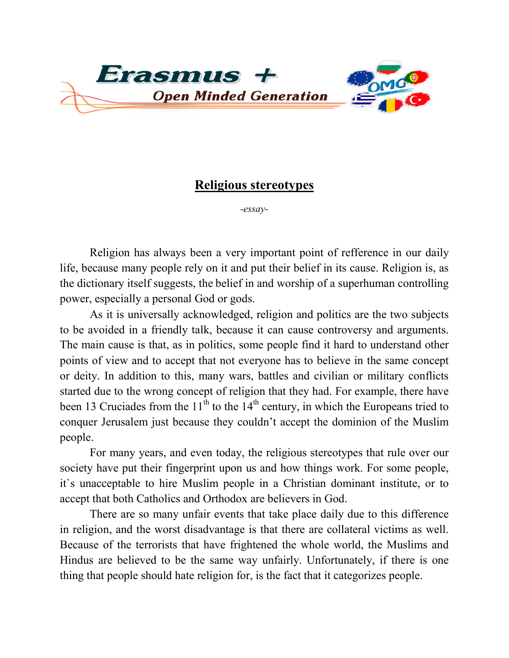

## **Religious stereotypes**

*-essay-*

Religion has always been a very important point of refference in our daily life, because many people rely on it and put their belief in its cause. Religion is, as the dictionary itself suggests, the belief in and worship of a superhuman controlling power, especially a personal God or gods.

As it is universally acknowledged, religion and politics are the two subjects to be avoided in a friendly talk, because it can cause controversy and arguments. The main cause is that, as in politics, some people find it hard to understand other points of view and to accept that not everyone has to believe in the same concept or deity. In addition to this, many wars, battles and civilian or military conflicts started due to the wrong concept of religion that they had. For example, there have been 13 Cruciades from the  $11<sup>th</sup>$  to the  $14<sup>th</sup>$  century, in which the Europeans tried to conquer Jerusalem just because they couldn't accept the dominion of the Muslim people.

For many years, and even today, the religious stereotypes that rule over our society have put their fingerprint upon us and how things work. For some people, it`s unacceptable to hire Muslim people in a Christian dominant institute, or to accept that both Catholics and Orthodox are believers in God.

There are so many unfair events that take place daily due to this difference in religion, and the worst disadvantage is that there are collateral victims as well. Because of the terrorists that have frightened the whole world, the Muslims and Hindus are believed to be the same way unfairly. Unfortunately, if there is one thing that people should hate religion for, is the fact that it categorizes people.